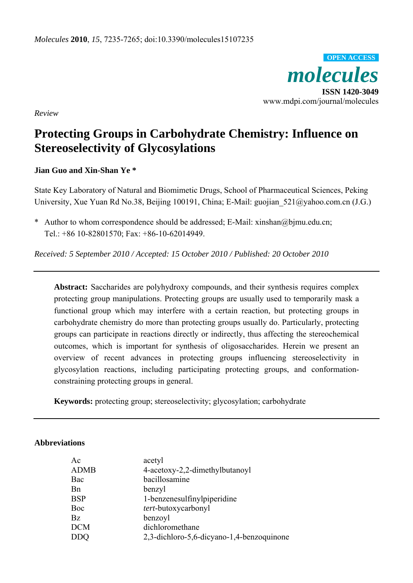

*Review* 

# **Protecting Groups in Carbohydrate Chemistry: Influence on Stereoselectivity of Glycosylations**

# **Jian Guo and Xin-Shan Ye \***

State Key Laboratory of Natural and Biomimetic Drugs, School of Pharmaceutical Sciences, Peking University, Xue Yuan Rd No.38, Beijing 100191, China; E-Mail: guojian 521@yahoo.com.cn (J.G.)

\* Author to whom correspondence should be addressed; E-Mail: xinshan@bjmu.edu.cn; Tel.: +86 10-82801570; Fax: +86-10-62014949.

*Received: 5 September 2010 / Accepted: 15 October 2010 / Published: 20 October 2010* 

**Abstract:** Saccharides are polyhydroxy compounds, and their synthesis requires complex protecting group manipulations. Protecting groups are usually used to temporarily mask a functional group which may interfere with a certain reaction, but protecting groups in carbohydrate chemistry do more than protecting groups usually do. Particularly, protecting groups can participate in reactions directly or indirectly, thus affecting the stereochemical outcomes, which is important for synthesis of oligosaccharides. Herein we present an overview of recent advances in protecting groups influencing stereoselectivity in glycosylation reactions, including participating protecting groups, and conformationconstraining protecting groups in general.

**Keywords:** protecting group; stereoselectivity; glycosylation; carbohydrate

## **Abbreviations**

| Ac          | acetyl                                    |
|-------------|-------------------------------------------|
| <b>ADMB</b> | 4-acetoxy-2,2-dimethylbutanoyl            |
| Bac         | bacillosamine                             |
| <b>B</b> n  | benzyl                                    |
| <b>BSP</b>  | 1-benzenesulfinylpiperidine               |
| Boc         | tert-butoxycarbonyl                       |
| <b>Bz</b>   | benzoyl                                   |
| <b>DCM</b>  | dichloromethane                           |
| DDO         | 2,3-dichloro-5,6-dicyano-1,4-benzoquinone |
|             |                                           |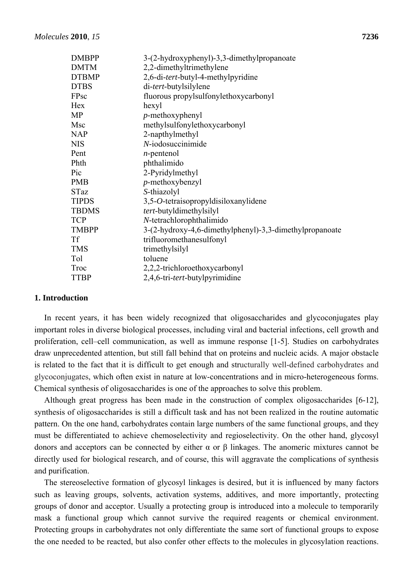| <b>DMBPP</b> | 3-(2-hydroxyphenyl)-3,3-dimethylpropanoate              |
|--------------|---------------------------------------------------------|
| <b>DMTM</b>  | 2,2-dimethyltrimethylene                                |
| <b>DTBMP</b> | 2,6-di-tert-butyl-4-methylpyridine                      |
| <b>DTBS</b>  | di-tert-butylsilylene                                   |
| FPsc         | fluorous propylsulfonylethoxycarbonyl                   |
| Hex          | hexyl                                                   |
| MP           | $p$ -methoxyphenyl                                      |
| Msc          | methylsulfonylethoxycarbonyl                            |
| <b>NAP</b>   | 2-napthylmethyl                                         |
| <b>NIS</b>   | N-iodosuccinimide                                       |
| Pent         | $n$ -pentenol                                           |
| Phth         | phthalimido                                             |
| Pic          | 2-Pyridylmethyl                                         |
| <b>PMB</b>   | $p$ -methoxybenzyl                                      |
| <b>STaz</b>  | S-thiazolyl                                             |
| <b>TIPDS</b> | 3,5-O-tetraisopropyldisiloxanylidene                    |
| <b>TBDMS</b> | tert-butyldimethylsilyl                                 |
| <b>TCP</b>   | N-tetrachlorophthalimido                                |
| <b>TMBPP</b> | 3-(2-hydroxy-4,6-dimethylphenyl)-3,3-dimethylpropanoate |
| <b>Tf</b>    | trifluoromethanesulfonyl                                |
| <b>TMS</b>   | trimethylsilyl                                          |
| Tol          | toluene                                                 |
| Troc         | 2,2,2-trichloroethoxycarbonyl                           |
| <b>TTBP</b>  | 2,4,6-tri- <i>tert</i> -butylpyrimidine                 |

#### **1. Introduction**

In recent years, it has been widely recognized that oligosaccharides and glycoconjugates play important roles in diverse biological processes, including viral and bacterial infections, cell growth and proliferation, cell–cell communication, as well as immune response [1-5]. Studies on carbohydrates draw unprecedented attention, but still fall behind that on proteins and nucleic acids. A major obstacle is related to the fact that it is difficult to get enough and structurally well-defined carbohydrates and glycoconjugates, which often exist in nature at low-concentrations and in micro-heterogeneous forms. Chemical synthesis of oligosaccharides is one of the approaches to solve this problem.

Although great progress has been made in the construction of complex oligosaccharides [6-12], synthesis of oligosaccharides is still a difficult task and has not been realized in the routine automatic pattern. On the one hand, carbohydrates contain large numbers of the same functional groups, and they must be differentiated to achieve chemoselectivity and regioselectivity. On the other hand, glycosyl donors and acceptors can be connected by either α or β linkages. The anomeric mixtures cannot be directly used for biological research, and of course, this will aggravate the complications of synthesis and purification.

The stereoselective formation of glycosyl linkages is desired, but it is influenced by many factors such as leaving groups, solvents, activation systems, additives, and more importantly, protecting groups of donor and acceptor. Usually a protecting group is introduced into a molecule to temporarily mask a functional group which cannot survive the required reagents or chemical environment. Protecting groups in carbohydrates not only differentiate the same sort of functional groups to expose the one needed to be reacted, but also confer other effects to the molecules in glycosylation reactions.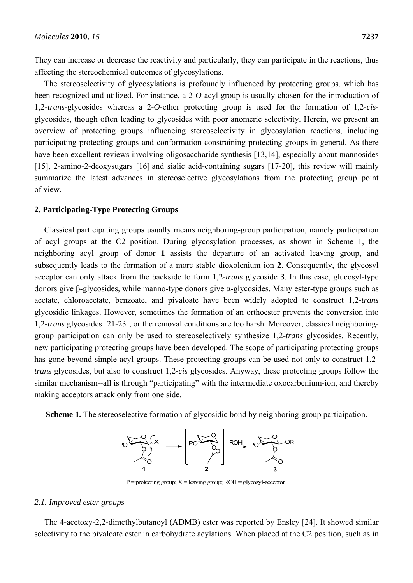They can increase or decrease the reactivity and particularly, they can participate in the reactions, thus affecting the stereochemical outcomes of glycosylations.

The stereoselectivity of glycosylations is profoundly influenced by protecting groups, which has been recognized and utilized. For instance, a 2-*O*-acyl group is usually chosen for the introduction of 1,2-*trans*-glycosides whereas a 2-*O*-ether protecting group is used for the formation of 1,2-*cis*glycosides, though often leading to glycosides with poor anomeric selectivity. Herein, we present an overview of protecting groups influencing stereoselectivity in glycosylation reactions, including participating protecting groups and conformation-constraining protecting groups in general. As there have been excellent reviews involving oligosaccharide synthesis [13,14], especially about mannosides [15], 2-amino-2-deoxysugars [16] and sialic acid-containing sugars [17-20], this review will mainly summarize the latest advances in stereoselective glycosylations from the protecting group point of view.

## **2. Participating-Type Protecting Groups**

Classical participating groups usually means neighboring-group participation, namely participation of acyl groups at the C2 position. During glycosylation processes, as shown in Scheme 1, the neighboring acyl group of donor **1** assists the departure of an activated leaving group, and subsequently leads to the formation of a more stable dioxolenium ion **2**. Consequently, the glycosyl acceptor can only attack from the backside to form 1,2-*trans* glycoside **3**. In this case, glucosyl-type donors give β-glycosides, while manno-type donors give α-glycosides. Many ester-type groups such as acetate, chloroacetate, benzoate, and pivaloate have been widely adopted to construct 1,2*-trans*  glycosidic linkages. However, sometimes the formation of an orthoester prevents the conversion into 1,2*-trans* glycosides [21-23], or the removal conditions are too harsh. Moreover, classical neighboringgroup participation can only be used to stereoselectively synthesize 1,2*-trans* glycosides. Recently, new participating protecting groups have been developed. The scope of participating protecting groups has gone beyond simple acyl groups. These protecting groups can be used not only to construct 1,2 *trans* glycosides, but also to construct 1,2*-cis* glycosides. Anyway, these protecting groups follow the similar mechanism--all is through "participating" with the intermediate oxocarbenium-ion, and thereby making acceptors attack only from one side.

**Scheme 1.** The stereoselective formation of glycosidic bond by neighboring-group participation.



 $P =$  protecting group;  $X =$  leaving group;  $ROH =$  glycosyl-acceptor

#### *2.1. Improved ester groups*

The 4-acetoxy-2,2-dimethylbutanoyl (ADMB) ester was reported by Ensley [24]. It showed similar selectivity to the pivaloate ester in carbohydrate acylations. When placed at the C2 position, such as in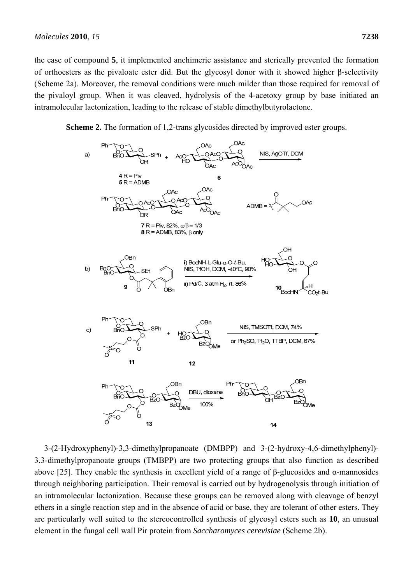the case of compound **5**, it implemented anchimeric assistance and sterically prevented the formation of orthoesters as the pivaloate ester did. But the glycosyl donor with it showed higher β-selectivity (Scheme 2a). Moreover, the removal conditions were much milder than those required for removal of the pivaloyl group. When it was cleaved, hydrolysis of the 4-acetoxy group by base initiated an intramolecular lactonization, leading to the release of stable dimethylbutyrolactone.

**Scheme 2.** The formation of 1,2-trans glycosides directed by improved ester groups.



3-(2-Hydroxyphenyl)-3,3-dimethylpropanoate (DMBPP) and 3-(2-hydroxy-4,6-dimethylphenyl)- 3,3-dimethylpropanoate groups (TMBPP) are two protecting groups that also function as described above [25]. They enable the synthesis in excellent yield of a range of β-glucosides and α-mannosides through neighboring participation. Their removal is carried out by hydrogenolysis through initiation of an intramolecular lactonization. Because these groups can be removed along with cleavage of benzyl ethers in a single reaction step and in the absence of acid or base, they are tolerant of other esters. They are particularly well suited to the stereocontrolled synthesis of glycosyl esters such as **10**, an unusual element in the fungal cell wall Pir protein from *Saccharomyces cerevisiae* (Scheme 2b).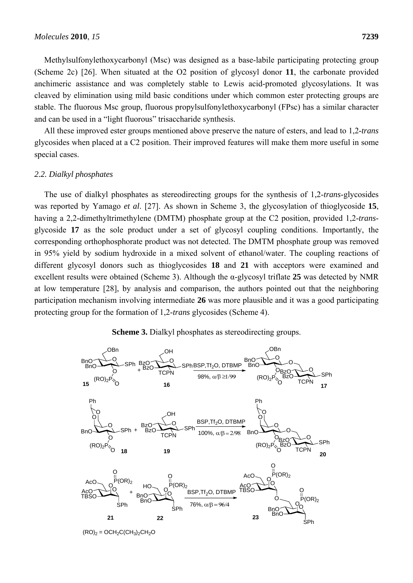Methylsulfonylethoxycarbonyl (Msc) was designed as a base-labile participating protecting group (Scheme 2c) [26]. When situated at the O2 position of glycosyl donor **11**, the carbonate provided anchimeric assistance and was completely stable to Lewis acid-promoted glycosylations. It was cleaved by elimination using mild basic conditions under which common ester protecting groups are stable. The fluorous Msc group, fluorous propylsulfonylethoxycarbonyl (FPsc) has a similar character and can be used in a "light fluorous" trisaccharide synthesis.

All these improved ester groups mentioned above preserve the nature of esters, and lead to 1,2*-trans*  glycosides when placed at a C2 position. Their improved features will make them more useful in some special cases.

#### *2.2. Dialkyl phosphates*

The use of dialkyl phosphates as stereodirecting groups for the synthesis of 1,2-*trans*-glycosides was reported by Yamago *et al*. [27]. As shown in Scheme 3, the glycosylation of thioglycoside **15**, having a 2,2-dimethyltrimethylene (DMTM) phosphate group at the C2 position, provided 1,2-*trans*glycoside **17** as the sole product under a set of glycosyl coupling conditions. Importantly, the corresponding orthophosphorate product was not detected. The DMTM phosphate group was removed in 95% yield by sodium hydroxide in a mixed solvent of ethanol/water. The coupling reactions of different glycosyl donors such as thioglycosides **18** and **21** with acceptors were examined and excellent results were obtained (Scheme 3). Although the α-glycosyl triflate **25** was detected by NMR at low temperature [28], by analysis and comparison, the authors pointed out that the neighboring participation mechanism involving intermediate **26** was more plausible and it was a good participating protecting group for the formation of 1,2-*trans* glycosides (Scheme 4).





 $(RO)_2 = OCH_2C(CH_3)_2CH_2O$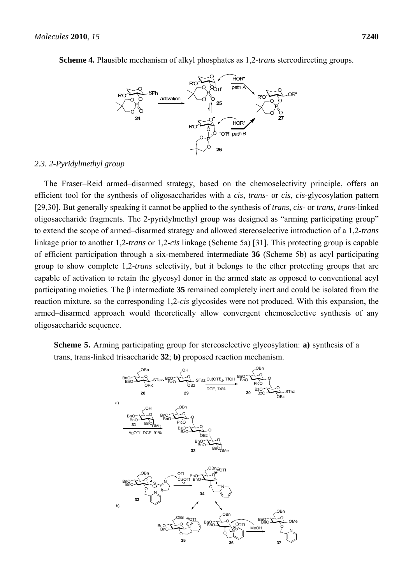



## *2.3. 2-Pyridylmethyl group*

The Fraser–Reid armed–disarmed strategy, based on the chemoselectivity principle, offers an efficient tool for the synthesis of oligosaccharides with a *cis*, *trans*- or *cis*, *cis*-glycosylation pattern [29,30]. But generally speaking it cannot be applied to the synthesis of *trans*, *cis*- or *trans, trans*-linked oligosaccharide fragments. The 2-pyridylmethyl group was designed as "arming participating group" to extend the scope of armed–disarmed strategy and allowed stereoselective introduction of a 1,2-*trans* linkage prior to another 1,2-*trans* or 1,2-*cis* linkage (Scheme 5a) [31]. This protecting group is capable of efficient participation through a six-membered intermediate **36** (Scheme 5b) as acyl participating group to show complete 1,2-*trans* selectivity, but it belongs to the ether protecting groups that are capable of activation to retain the glycosyl donor in the armed state as opposed to conventional acyl participating moieties. The β intermediate **35** remained completely inert and could be isolated from the reaction mixture, so the corresponding 1,2-*cis* glycosides were not produced. With this expansion, the armed–disarmed approach would theoretically allow convergent chemoselective synthesis of any oligosaccharide sequence.

**Scheme 5.** Arming participating group for stereoselective glycosylation: **a)** synthesis of a trans, trans-linked trisaccharide **32**; **b)** proposed reaction mechanism.

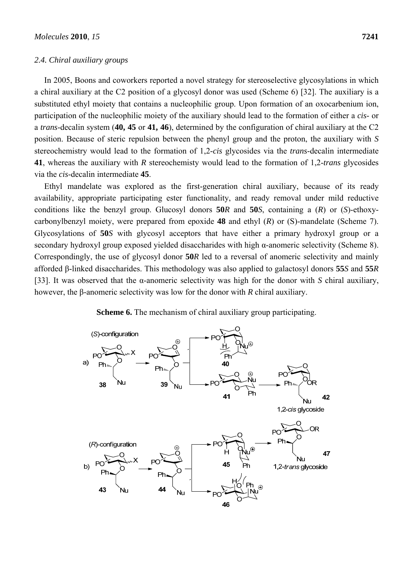#### *2.4. Chiral auxiliary groups*

In 2005, Boons and coworkers reported a novel strategy for stereoselective glycosylations in which a chiral auxiliary at the C2 position of a glycosyl donor was used (Scheme 6) [32]. The auxiliary is a substituted ethyl moiety that contains a nucleophilic group. Upon formation of an oxocarbenium ion, participation of the nucleophilic moiety of the auxiliary should lead to the formation of either a *cis*- or a *trans*-decalin system (**40, 45** or **41, 46**), determined by the configuration of chiral auxiliary at the C2 position. Because of steric repulsion between the phenyl group and the proton, the auxiliary with *S* stereochemistry would lead to the formation of 1,2-*cis* glycosides via the *trans*-decalin intermediate **41**, whereas the auxiliary with *R* stereochemisty would lead to the formation of 1,2-*trans* glycosides via the *cis*-decalin intermediate **45**.

Ethyl mandelate was explored as the first-generation chiral auxiliary, because of its ready availability, appropriate participating ester functionality, and ready removal under mild reductive conditions like the benzyl group. Glucosyl donors **50***R* and **50***S*, containing a (*R*) or (*S*)-ethoxycarbonylbenzyl moiety, were prepared from epoxide **48** and ethyl (*R*) or (S)-mandelate (Scheme 7). Glycosylations of **50***S* with glycosyl acceptors that have either a primary hydroxyl group or a secondary hydroxyl group exposed yielded disaccharides with high α-anomeric selectivity (Scheme 8). Correspondingly, the use of glycosyl donor **50***R* led to a reversal of anomeric selectivity and mainly afforded β-linked disaccharides. This methodology was also applied to galactosyl donors **55***S* and **55***R* [33]. It was observed that the α-anomeric selectivity was high for the donor with *S* chiral auxiliary, however, the β-anomeric selectivity was low for the donor with *R* chiral auxiliary.



**Scheme 6.** The mechanism of chiral auxiliary group participating.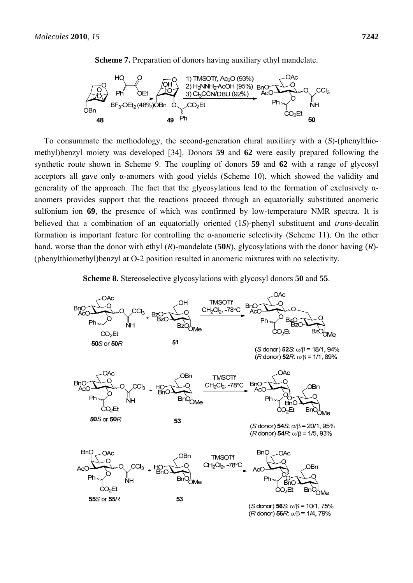

**Scheme 7.** Preparation of donors having auxiliary ethyl mandelate.

To consummate the methodology, the second-generation chiral auxiliary with a (*S*)-(phenylthiomethyl)benzyl moiety was developed [34]. Donors **59** and **62** were easily prepared following the synthetic route shown in Scheme 9. The coupling of donors **59** and **62** with a range of glycosyl acceptors all gave only α-anomers with good yields (Scheme 10), which showed the validity and generality of the approach. The fact that the glycosylations lead to the formation of exclusively αanomers provides support that the reactions proceed through an equatorially substituted anomeric sulfonium ion **69**, the presence of which was confirmed by low-temperature NMR spectra. It is believed that a combination of an equatorially oriented (1*S*)-phenyl substituent and *trans*-decalin formation is important feature for controlling the α-anomeric selectivity (Scheme 11). On the other hand, worse than the donor with ethyl (*R*)-mandelate (**50***R*), glycosylations with the donor having (*R*)*-* (phenylthiomethyl)benzyl at O-2 position resulted in anomeric mixtures with no selectivity.

**Scheme 8.** Stereoselective glycosylations with glycosyl donors **50** and **55**.

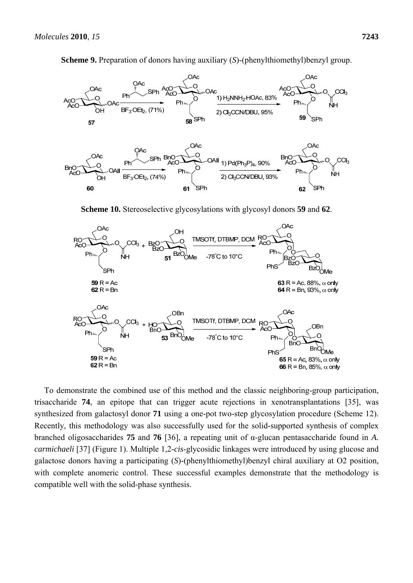

**Scheme 9.** Preparation of donors having auxiliary (*S*)-(phenylthiomethyl)benzyl group.

**Scheme 10.** Stereoselective glycosylations with glycosyl donors **59** and **62**.



To demonstrate the combined use of this method and the classic neighboring-group participation, trisaccharide **74**, an epitope that can trigger acute rejections in xenotransplantations [35], was synthesized from galactosyl donor **71** using a one-pot two-step glycosylation procedure (Scheme 12). Recently, this methodology was also successfully used for the solid-supported synthesis of complex branched oligosaccharides **75** and **76** [36], a repeating unit of α-glucan pentasaccharide found in *A. carmichaeli* [37] (Figure 1). Multiple 1,2-*cis*-glycosidic linkages were introduced by using glucose and galactose donors having a participating (*S*)-(phenylthiomethyl)benzyl chiral auxiliary at O2 position, with complete anomeric control. These successful examples demonstrate that the methodology is compatible well with the solid-phase synthesis.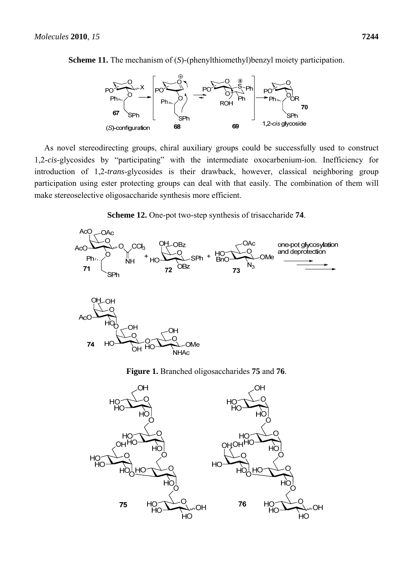



As novel stereodirecting groups, chiral auxiliary groups could be successfully used to construct 1,2-*cis*-glycosides by "participating" with the intermediate oxocarbenium-ion. Inefficiency for introduction of 1,2-*trans*-glycosides is their drawback, however, classical neighboring group participation using ester protecting groups can deal with that easily. The combination of them will make stereoselective oligosaccharide synthesis more efficient.





**Figure 1.** Branched oligosaccharides **75** and **76**.

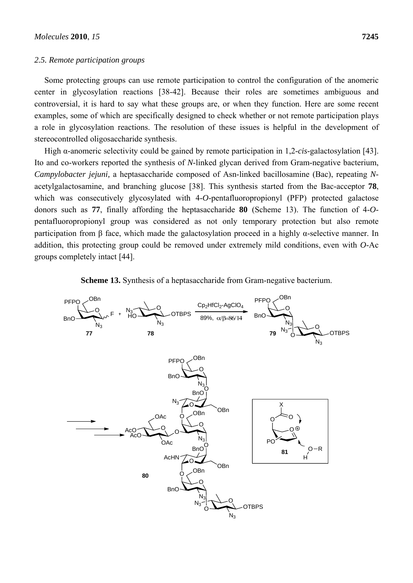#### *2.5. Remote participation groups*

Some protecting groups can use remote participation to control the configuration of the anomeric center in glycosylation reactions [38-42]. Because their roles are sometimes ambiguous and controversial, it is hard to say what these groups are, or when they function. Here are some recent examples, some of which are specifically designed to check whether or not remote participation plays a role in glycosylation reactions. The resolution of these issues is helpful in the development of stereocontrolled oligosaccharide synthesis.

High α-anomeric selectivity could be gained by remote participation in 1,2-*cis*-galactosylation [43]. Ito and co-workers reported the synthesis of *N*-linked glycan derived from Gram-negative bacterium, *Campylobacter jejuni,* a heptasaccharide composed of Asn-linked bacillosamine (Bac), repeating *N*acetylgalactosamine, and branching glucose [38]. This synthesis started from the Bac-acceptor **78**, which was consecutively glycosylated with 4-*O*-pentafluoropropionyl (PFP) protected galactose donors such as **77**, finally affording the heptasaccharide **80** (Scheme 13). The function of 4-*O*pentafluoropropionyl group was considered as not only temporary protection but also remote participation from β face, which made the galactosylation proceed in a highly α-selective manner. In addition, this protecting group could be removed under extremely mild conditions, even with *O*-Ac groups completely intact [44].



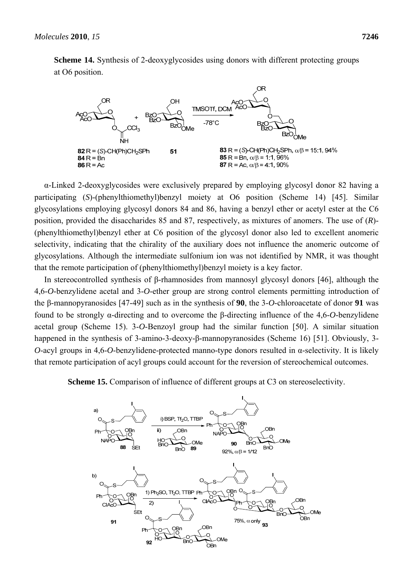

**Scheme 14.** Synthesis of 2-deoxyglycosides using donors with different protecting groups at O6 position.

α-Linked 2-deoxyglycosides were exclusively prepared by employing glycosyl donor 82 having a participating (*S*)-(phenylthiomethyl)benzyl moiety at O6 position (Scheme 14) [45]. Similar glycosylations employing glycosyl donors 84 and 86, having a benzyl ether or acetyl ester at the C6 position, provided the disaccharides 85 and 87, respectively, as mixtures of anomers. The use of (*R*)- (phenylthiomethyl)benzyl ether at C6 position of the glycosyl donor also led to excellent anomeric selectivity, indicating that the chirality of the auxiliary does not influence the anomeric outcome of glycosylations. Although the intermediate sulfonium ion was not identified by NMR, it was thought that the remote participation of (phenylthiomethyl)benzyl moiety is a key factor.

In stereocontrolled synthesis of β-rhamnosides from mannosyl glycosyl donors [46], although the 4,6-*O*-benzylidene acetal and 3-*O*-ether group are strong control elements permitting introduction of the β-mannopyranosides [47-49] such as in the synthesis of **90**, the 3-*O*-chloroacetate of donor **91** was found to be strongly α-directing and to overcome the β-directing influence of the 4,6-*O*-benzylidene acetal group (Scheme 15). 3-*O*-Benzoyl group had the similar function [50]. A similar situation happened in the synthesis of 3-amino-3-deoxy-β-mannopyranosides (Scheme 16) [51]. Obviously, 3- *O*-acyl groups in 4,6-*O*-benzylidene-protected manno-type donors resulted in α-selectivity. It is likely that remote participation of acyl groups could account for the reversion of stereochemical outcomes.

**Scheme 15.** Comparison of influence of different groups at C3 on stereoselectivity.

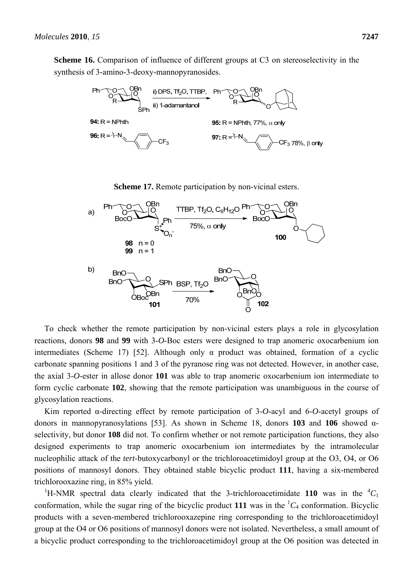**Scheme 16.** Comparison of influence of different groups at C3 on stereoselectivity in the synthesis of 3-amino-3-deoxy-mannopyranosides.



**Scheme 17.** Remote participation by non-vicinal esters.



To check whether the remote participation by non-vicinal esters plays a role in glycosylation reactions, donors **98** and **99** with 3-*O*-Boc esters were designed to trap anomeric oxocarbenium ion intermediates (Scheme 17) [52]. Although only  $\alpha$  product was obtained, formation of a cyclic carbonate spanning positions 1 and 3 of the pyranose ring was not detected. However, in another case, the axial 3-*O*-ester in allose donor **101** was able to trap anomeric oxocarbenium ion intermediate to form cyclic carbonate **102**, showing that the remote participation was unambiguous in the course of glycosylation reactions.

Kim reported α-directing effect by remote participation of 3-*O*-acyl and 6-*O*-acetyl groups of donors in mannopyranosylations [53]. As shown in Scheme 18, donors **103** and **106** showed αselectivity, but donor **108** did not. To confirm whether or not remote participation functions, they also designed experiments to trap anomeric oxocarbenium ion intermediates by the intramolecular nucleophilic attack of the *tert*-butoxycarbonyl or the trichloroacetimidoyl group at the O3, O4, or O6 positions of mannosyl donors. They obtained stable bicyclic product **111**, having a six-membered trichlorooxazine ring, in 85% yield.

<sup>1</sup>H-NMR spectral data clearly indicated that the 3-trichloroacetimidate 110 was in the  ${}^{4}C_1$ conformation, while the sugar ring of the bicyclic product 111 was in the  ${}^{1}C_{4}$  conformation. Bicyclic products with a seven-membered trichlorooxazepine ring corresponding to the trichloroacetimidoyl group at the O4 or O6 positions of mannosyl donors were not isolated. Nevertheless, a small amount of a bicyclic product corresponding to the trichloroacetimidoyl group at the O6 position was detected in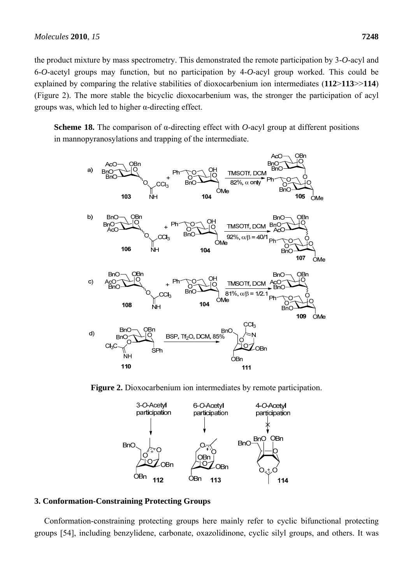the product mixture by mass spectrometry. This demonstrated the remote participation by 3-*O*-acyl and 6-*O*-acetyl groups may function, but no participation by 4-*O*-acyl group worked. This could be explained by comparing the relative stabilities of dioxocarbenium ion intermediates (**112**>**113**>>**114**) (Figure 2). The more stable the bicyclic dioxocarbenium was, the stronger the participation of acyl groups was, which led to higher  $\alpha$ -directing effect.

**Scheme 18.** The comparison of α-directing effect with *O*-acyl group at different positions in mannopyranosylations and trapping of the intermediate.



**Figure 2.** Dioxocarbenium ion intermediates by remote participation.



#### **3. Conformation-Constraining Protecting Groups**

Conformation-constraining protecting groups here mainly refer to cyclic bifunctional protecting groups [54], including benzylidene, carbonate, oxazolidinone, cyclic silyl groups, and others. It was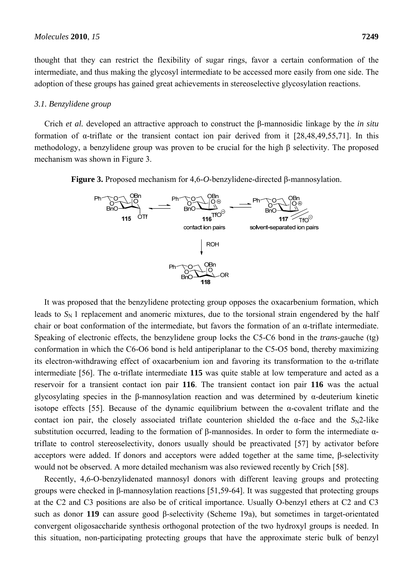thought that they can restrict the flexibility of sugar rings, favor a certain conformation of the intermediate, and thus making the glycosyl intermediate to be accessed more easily from one side. The adoption of these groups has gained great achievements in stereoselective glycosylation reactions.

#### *3.1. Benzylidene group*

Crich *et al.* developed an attractive approach to construct the β-mannosidic linkage by the *in situ* formation of α-triflate or the transient contact ion pair derived from it [28,48,49,55,71]. In this methodology, a benzylidene group was proven to be crucial for the high β selectivity. The proposed mechanism was shown in Figure 3.

**Figure 3.** Proposed mechanism for 4,6-*O*-benzylidene-directed β-mannosylation.



It was proposed that the benzylidene protecting group opposes the oxacarbenium formation, which leads to  $S_N$  1 replacement and anomeric mixtures, due to the torsional strain engendered by the half chair or boat conformation of the intermediate, but favors the formation of an  $\alpha$ -triflate intermediate. Speaking of electronic effects, the benzylidene group locks the C5-C6 bond in the *trans*-gauche (tg) conformation in which the C6-O6 bond is held antiperiplanar to the C5-O5 bond, thereby maximizing its electron-withdrawing effect of oxacarbenium ion and favoring its transformation to the α-triflate intermediate [56]. The α-triflate intermediate **115** was quite stable at low temperature and acted as a reservoir for a transient contact ion pair **116**. The transient contact ion pair **116** was the actual glycosylating species in the β-mannosylation reaction and was determined by α-deuterium kinetic isotope effects [55]. Because of the dynamic equilibrium between the α-covalent triflate and the contact ion pair, the closely associated triflate counterion shielded the  $\alpha$ -face and the *S*<sub>N</sub>2-like substitution occurred, leading to the formation of β-mannosides. In order to form the intermediate αtriflate to control stereoselectivity, donors usually should be preactivated [57] by activator before acceptors were added. If donors and acceptors were added together at the same time, β-selectivity would not be observed. A more detailed mechanism was also reviewed recently by Crich [58].

Recently, 4,6-O-benzylidenated mannosyl donors with different leaving groups and protecting groups were checked in β-mannosylation reactions [51,59-64]. It was suggested that protecting groups at the C2 and C3 positions are also be of critical importance. Usually O-benzyl ethers at C2 and C3 such as donor **119** can assure good β-selectivity (Scheme 19a), but sometimes in target-orientated convergent oligosaccharide synthesis orthogonal protection of the two hydroxyl groups is needed. In this situation, non-participating protecting groups that have the approximate steric bulk of benzyl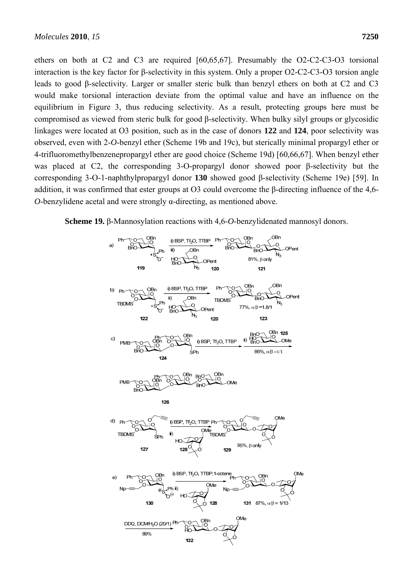ethers on both at C2 and C3 are required [60,65,67]. Presumably the O2-C2-C3-O3 torsional interaction is the key factor for β-selectivity in this system. Only a proper O2-C2-C3-O3 torsion angle leads to good β-selectivity. Larger or smaller steric bulk than benzyl ethers on both at C2 and C3 would make torsional interaction deviate from the optimal value and have an influence on the equilibrium in Figure 3, thus reducing selectivity. As a result, protecting groups here must be compromised as viewed from steric bulk for good β-selectivity. When bulky silyl groups or glycosidic linkages were located at O3 position, such as in the case of donors **122** and **124**, poor selectivity was observed, even with 2-*O*-benzyl ether (Scheme 19b and 19c), but sterically minimal propargyl ether or 4-trifluoromethylbenzenepropargyl ether are good choice (Scheme 19d) [60,66,67]. When benzyl ether was placed at C2, the corresponding 3-O-propargyl donor showed poor β-selectivity but the corresponding 3-O-1-naphthylpropargyl donor **130** showed good β-selectivity (Scheme 19e) [59]. In addition, it was confirmed that ester groups at O3 could overcome the β-directing influence of the 4,6- *O*-benzylidene acetal and were strongly α-directing, as mentioned above.

**Scheme 19.** β-Mannosylation reactions with 4,6-*O*-benzylidenated mannosyl donors.

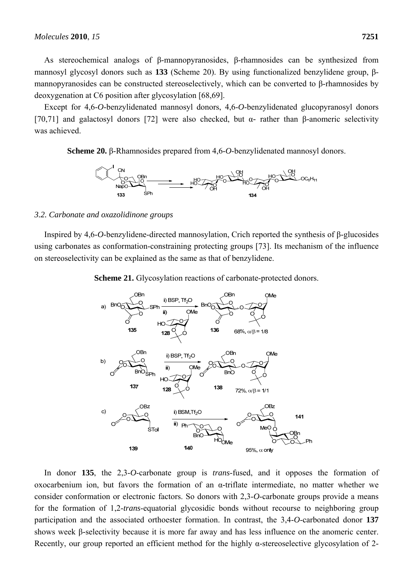As stereochemical analogs of β-mannopyranosides, β-rhamnosides can be synthesized from mannosyl glycosyl donors such as **133** (Scheme 20). By using functionalized benzylidene group, βmannopyranosides can be constructed stereoselectively, which can be converted to β-rhamnosides by deoxygenation at C6 position after glycosylation [68,69].

Except for 4,6-*O*-benzylidenated mannosyl donors, 4,6-*O*-benzylidenated glucopyranosyl donors [70,71] and galactosyl donors [72] were also checked, but α*-* rather than β*-*anomeric selectivity was achieved.

**Scheme 20.** β-Rhamnosides prepared from 4,6-*O*-benzylidenated mannosyl donors.



## *3.2. Carbonate and oxazolidinone groups*

Inspired by 4,6-*O*-benzylidene-directed mannosylation, Crich reported the synthesis of β-glucosides using carbonates as conformation-constraining protecting groups [73]. Its mechanism of the influence on stereoselectivity can be explained as the same as that of benzylidene.

**Scheme 21.** Glycosylation reactions of carbonate-protected donors.



In donor **135**, the 2,3-*O*-carbonate group is *trans*-fused, and it opposes the formation of oxocarbenium ion, but favors the formation of an α*-*triflate intermediate, no matter whether we consider conformation or electronic factors. So donors with 2,3-*O*-carbonate groups provide a means for the formation of 1,2-*trans*-equatorial glycosidic bonds without recourse to neighboring group participation and the associated orthoester formation. In contrast, the 3,4-*O*-carbonated donor **137** shows week β*-*selectivity because it is more far away and has less influence on the anomeric center. Recently, our group reported an efficient method for the highly α-stereoselective glycosylation of 2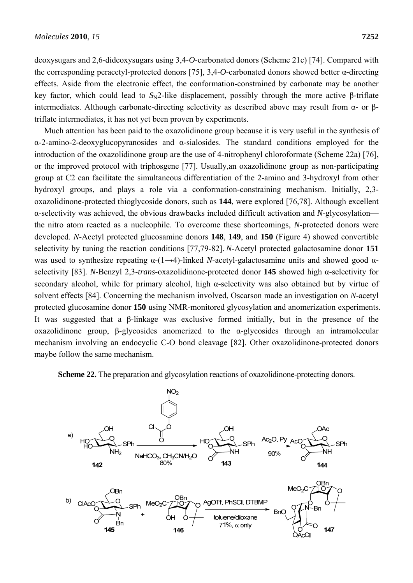deoxysugars and 2,6-dideoxysugars using 3,4-*O*-carbonated donors (Scheme 21c) [74]. Compared with the corresponding peracetyl-protected donors [75], 3,4-*O*-carbonated donors showed better α*-*directing effects. Aside from the electronic effect, the conformation-constrained by carbonate may be another key factor, which could lead to *S*<sub>N</sub>2-like displacement, possibly through the more active β-triflate intermediates. Although carbonate-directing selectivity as described above may result from α*-* or βtriflate intermediates, it has not yet been proven by experiments.

Much attention has been paid to the oxazolidinone group because it is very useful in the synthesis of α-2-amino-2-deoxyglucopyranosides and α-sialosides. The standard conditions employed for the introduction of the oxazolidinone group are the use of 4-nitrophenyl chloroformate (Scheme 22a) [76], or the improved protocol with triphosgene [77]. Usually,an oxazolidinone group as non-participating group at C2 can facilitate the simultaneous differentiation of the 2-amino and 3-hydroxyl from other hydroxyl groups, and plays a role via a conformation-constraining mechanism. Initially, 2,3 oxazolidinone-protected thioglycoside donors, such as **144**, were explored [76,78]. Although excellent α-selectivity was achieved, the obvious drawbacks included difficult activation and *N*-glycosylation the nitro atom reacted as a nucleophile. To overcome these shortcomings, *N*-protected donors were developed. *N*-Acetyl protected glucosamine donors **148**, **149**, and **150** (Figure 4) showed convertible selectivity by tuning the reaction conditions [77,79-82]. *N*-Acetyl protected galactosamine donor **151** was used to synthesize repeating α-(1→4)-linked *N*-acetyl-galactosamine units and showed good αselectivity [83]. *N*-Benzyl 2,3-*trans*-oxazolidinone-protected donor **145** showed high α*-*selectivity for secondary alcohol, while for primary alcohol, high α*-*selectivity was also obtained but by virtue of solvent effects [84]. Concerning the mechanism involved, Oscarson made an investigation on *N*-acetyl protected glucosamine donor **150** using NMR-monitored glycosylation and anomerization experiments. It was suggested that a β-linkage was exclusive formed initially, but in the presence of the oxazolidinone group, β-glycosides anomerized to the α-glycosides through an intramolecular mechanism involving an endocyclic C-O bond cleavage [82]. Other oxazolidinone-protected donors maybe follow the same mechanism.

**Scheme 22.** The preparation and glycosylation reactions of oxazolidinone-protecting donors.

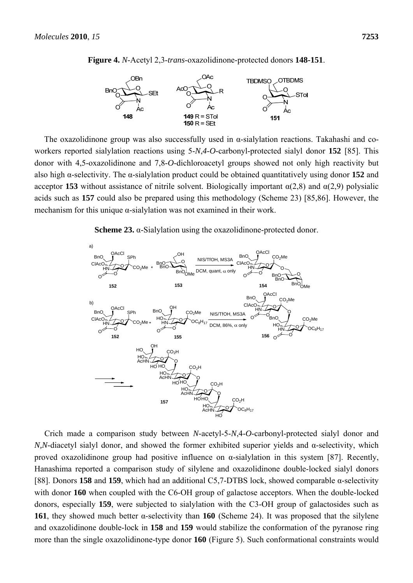



The oxazolidinone group was also successfully used in  $\alpha$ -sialylation reactions. Takahashi and coworkers reported sialylation reactions using 5-*N*,*4*-*O*-carbonyl-protected sialyl donor **152** [85]. This donor with 4,5-oxazolidinone and 7,8-*O*-dichloroacetyl groups showed not only high reactivity but also high α-selectivity. The α-sialylation product could be obtained quantitatively using donor **152** and acceptor **153** without assistance of nitrile solvent. Biologically important  $\alpha(2,8)$  and  $\alpha(2,9)$  polysialic acids such as **157** could also be prepared using this methodology (Scheme 23) [85,86]. However, the mechanism for this unique  $\alpha$ -sialylation was not examined in their work.

**Scheme 23.** α-Sialylation using the oxazolidinone-protected donor.



Crich made a comparison study between *N*-acetyl-5-*N*,4-*O*-carbonyl-protected sialyl donor and *N,N*-diacetyl sialyl donor, and showed the former exhibited superior yields and α-selectivity, which proved oxazolidinone group had positive influence on  $\alpha$ -sialylation in this system [87]. Recently, Hanashima reported a comparison study of silylene and oxazolidinone double-locked sialyl donors [88]. Donors **158** and **159**, which had an additional C5,7-DTBS lock, showed comparable α-selectivity with donor **160** when coupled with the C6-OH group of galactose acceptors. When the double-locked donors, especially **159**, were subjected to sialylation with the C3-OH group of galactosides such as **161**, they showed much better α-selectivity than **160** (Scheme 24). It was proposed that the silylene and oxazolidinone double-lock in **158** and **159** would stabilize the conformation of the pyranose ring more than the single oxazolidinone-type donor **160** (Figure 5). Such conformational constraints would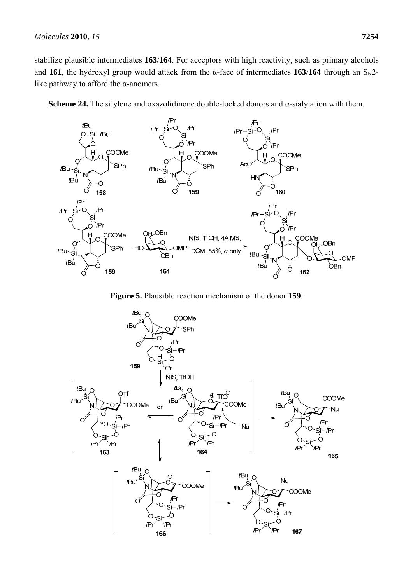$t$ Bu-

-śi

Ō

 $tBu$ 



**SPh** 

 $H<sub>l</sub>$ 

 $t$ Bu $\sim$ Si

 $tBu$ 

C

**Scheme 24.** The silylene and oxazolidinone double-locked donors and α-sialylation with them.



**Figure 5.** Plausible reaction mechanism of the donor **159**.

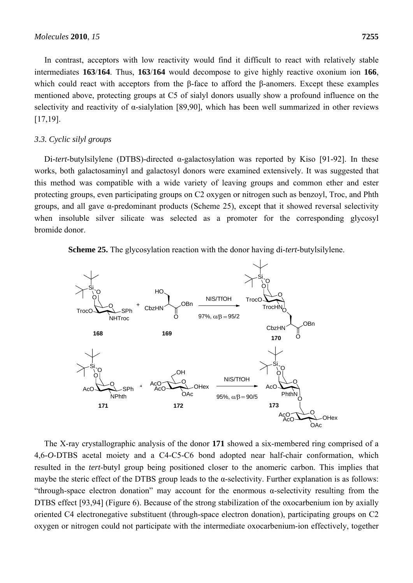In contrast, acceptors with low reactivity would find it difficult to react with relatively stable intermediates **163**/**164**. Thus, **163**/**164** would decompose to give highly reactive oxonium ion **166**, which could react with acceptors from the β-face to afford the β-anomers. Except these examples mentioned above, protecting groups at C5 of sialyl donors usually show a profound influence on the selectivity and reactivity of α-sialylation [89,90], which has been well summarized in other reviews [17,19].

## *3.3. Cyclic silyl groups*

Di-*tert*-butylsilylene (DTBS)-directed α-galactosylation was reported by Kiso [91-92]. In these works, both galactosaminyl and galactosyl donors were examined extensively. It was suggested that this method was compatible with a wide variety of leaving groups and common ether and ester protecting groups, even participating groups on C2 oxygen or nitrogen such as benzoyl, Troc, and Phth groups, and all gave α-predominant products (Scheme 25), except that it showed reversal selectivity when insoluble silver silicate was selected as a promoter for the corresponding glycosyl bromide donor.

**Scheme 25.** The glycosylation reaction with the donor having di-*tert-*butylsilylene.



The X-ray crystallographic analysis of the donor **171** showed a six-membered ring comprised of a 4,6-*O*-DTBS acetal moiety and a C4-C5-C6 bond adopted near half-chair conformation, which resulted in the *tert*-butyl group being positioned closer to the anomeric carbon. This implies that maybe the steric effect of the DTBS group leads to the  $\alpha$ -selectivity. Further explanation is as follows: "through-space electron donation" may account for the enormous  $\alpha$ -selectivity resulting from the DTBS effect [93,94] (Figure 6). Because of the strong stabilization of the oxocarbenium ion by axially oriented C4 electronegative substituent (through-space electron donation), participating groups on C2 oxygen or nitrogen could not participate with the intermediate oxocarbenium-ion effectively, together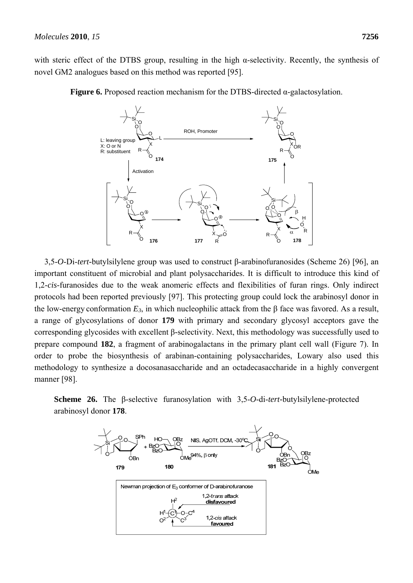with steric effect of the DTBS group, resulting in the high  $\alpha$ -selectivity. Recently, the synthesis of novel GM2 analogues based on this method was reported [95].



**Figure 6.** Proposed reaction mechanism for the DTBS-directed α-galactosylation.

3,5-*O*-Di-*tert-*butylsilylene group was used to construct β-arabinofuranosides (Scheme 26) [96], an important constituent of microbial and plant polysaccharides. It is difficult to introduce this kind of 1,2-*cis*-furanosides due to the weak anomeric effects and flexibilities of furan rings. Only indirect protocols had been reported previously [97]. This protecting group could lock the arabinosyl donor in the low-energy conformation  $E_3$ , in which nucleophilic attack from the β face was favored. As a result, a range of glycosylations of donor **179** with primary and secondary glycosyl acceptors gave the corresponding glycosides with excellent β*-*selectivity. Next, this methodology was successfully used to prepare compound **182**, a fragment of arabinogalactans in the primary plant cell wall (Figure 7). In order to probe the biosynthesis of arabinan-containing polysaccharides, Lowary also used this methodology to synthesize a docosanasaccharide and an octadecasaccharide in a highly convergent manner [98].

**Scheme 26.** The β-selective furanosylation with 3,5-*O*-di-*tert-*butylsilylene-protected arabinosyl donor **178**.

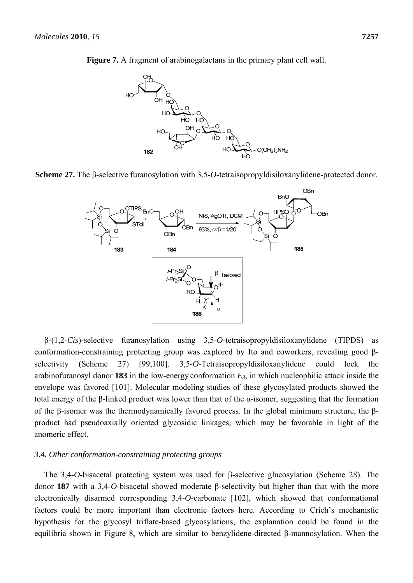

**Figure 7.** A fragment of arabinogalactans in the primary plant cell wall.

**Scheme 27.** The β-selective furanosylation with 3,5-*O*-tetraisopropyldisiloxanylidene-protected donor.



β-(1,2-*Cis*)-selective furanosylation using 3,5-*O*-tetraisopropyldisiloxanylidene (TIPDS) as conformation-constraining protecting group was explored by Ito and coworkers, revealing good βselectivity (Scheme 27) [99,100]. 3,5-*O*-Tetraisopropyldisiloxanylidene could lock the arabinofuranosyl donor **183** in the low-energy conformation  $E_3$ , in which nucleophilic attack inside the envelope was favored [101]. Molecular modeling studies of these glycosylated products showed the total energy of the β-linked product was lower than that of the α-isomer, suggesting that the formation of the β-isomer was the thermodynamically favored process. In the global minimum structure, the βproduct had pseudoaxially oriented glycosidic linkages, which may be favorable in light of the anomeric effect.

#### *3.4. Other conformation-constraining protecting groups*

The 3,4-*O*-bisacetal protecting system was used for β-selective glucosylation (Scheme 28). The donor **187** with a 3,4-*O*-bisacetal showed moderate β-selectivity but higher than that with the more electronically disarmed corresponding 3,4-*O*-carbonate [102], which showed that conformational factors could be more important than electronic factors here. According to Crich's mechanistic hypothesis for the glycosyl triflate-based glycosylations, the explanation could be found in the equilibria shown in Figure 8, which are similar to benzylidene-directed β-mannosylation. When the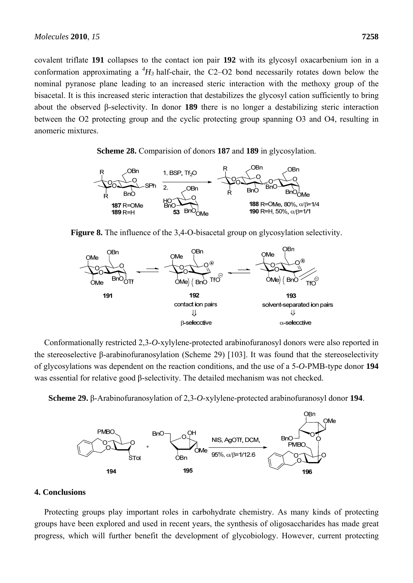covalent triflate **191** collapses to the contact ion pair **192** with its glycosyl oxacarbenium ion in a conformation approximating a  ${}^4H_3$  half-chair, the C2–O2 bond necessarily rotates down below the nominal pyranose plane leading to an increased steric interaction with the methoxy group of the bisacetal. It is this increased steric interaction that destabilizes the glycosyl cation sufficiently to bring about the observed β-selectivity. In donor **189** there is no longer a destabilizing steric interaction between the O2 protecting group and the cyclic protecting group spanning O3 and O4, resulting in anomeric mixtures.

**Scheme 28.** Comparision of donors **187** and **189** in glycosylation.







Conformationally restricted 2,3-*O*-xylylene-protected arabinofuranosyl donors were also reported in the stereoselective β-arabinofuranosylation (Scheme 29) [103]. It was found that the stereoselectivity of glycosylations was dependent on the reaction conditions, and the use of a 5-*O*-PMB-type donor **194** was essential for relative good β-selectivity. The detailed mechanism was not checked.

**Scheme 29.** β-Arabinofuranosylation of 2,3-*O*-xylylene-protected arabinofuranosyl donor **194**.



## **4. Conclusions**

Protecting groups play important roles in carbohydrate chemistry. As many kinds of protecting groups have been explored and used in recent years, the synthesis of oligosaccharides has made great progress, which will further benefit the development of glycobiology. However, current protecting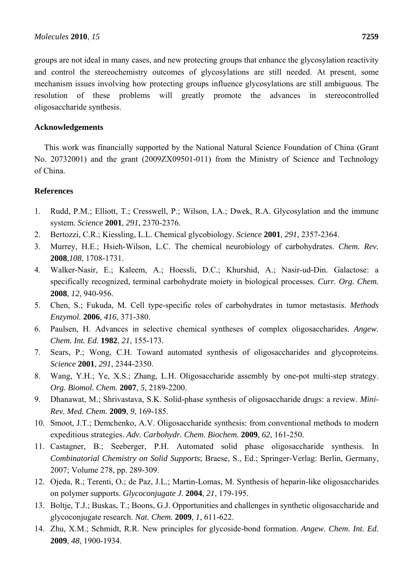groups are not ideal in many cases, and new protecting groups that enhance the glycosylation reactivity and control the stereochemistry outcomes of glycosylations are still needed. At present, some mechanism issues involving how protecting groups influence glycosylations are still ambiguous. The resolution of these problems will greatly promote the advances in stereocontrolled oligosaccharide synthesis.

# **Acknowledgements**

This work was financially supported by the National Natural Science Foundation of China (Grant No. 20732001) and the grant (2009ZX09501-011) from the Ministry of Science and Technology of China.

## **References**

- 1. Rudd, P.M.; Elliott, T.; Cresswell, P.; Wilson, I.A.; Dwek, R.A. Glycosylation and the immune system. *Science* **2001**, *291*, 2370-2376.
- 2. Bertozzi, C.R.; Kiessling, L.L. Chemical glycobiology. *Science* **2001**, *291*, 2357-2364.
- 3. Murrey, H.E.; Hsieh-Wilson, L.C. The chemical neurobiology of carbohydrates. *Chem. Rev.* **2008**,*108*, 1708-1731.
- 4. Walker-Nasir, E.; Kaleem, A.; Hoessli, D.C.; Khurshid, A.; Nasir-ud-Din. Galactose: a specifically recognized, terminal carbohydrate moiety in biological processes. *Curr. Org. Chem.* **2008**, *12*, 940-956.
- 5. Chen, S.; Fukuda, M. Cell type-specific roles of carbohydrates in tumor metastasis. *Methods Enzymol.* **2006**, *416*, 371-380.
- 6. Paulsen, H. Advances in selective chemical syntheses of complex oligosaccharides. *Angew. Chem. Int. Ed.* **1982**, *21*, 155-173.
- 7. Sears, P.; Wong, C.H. Toward automated synthesis of oligosaccharides and glycoproteins. *Science* **2001**, *291*, 2344-2350.
- 8. Wang, Y.H.; Ye, X.S.; Zhang, L.H. Oligosaccharide assembly by one-pot multi-step strategy. *Org. Biomol. Chem.* **2007**, *5*, 2189-2200.
- 9. Dhanawat, M.; Shrivastava, S.K. Solid-phase synthesis of oligosaccharide drugs: a review. *Mini-Rev. Med. Chem.* **2009**, *9*, 169-185.
- 10. Smoot, J.T.; Demchenko, A.V. Oligosaccharide synthesis: from conventional methods to modern expeditious strategies. *Adv. Carbohydr. Chem. Biochem.* **2009**, *62*, 161-250.
- 11. Castagner, B.; Seeberger, P.H. Automated solid phase oligosaccharide synthesis. In *Combinatorial Chemistry on Solid Supports*; Braese, S., Ed.; Springer-Verlag: Berlin, Germany, 2007; Volume 278, pp. 289-309.
- 12. Ojeda, R.; Terenti, O.; de Paz, J.L.; Martin-Lomas, M. Synthesis of heparin-like oligosaccharides on polymer supports. *Glycoconjugate J.* **2004**, *21*, 179-195.
- 13. Boltje, T.J.; Buskas, T.; Boons, G.J. Opportunities and challenges in synthetic oligosaccharide and glycoconjugate research. *Nat. Chem.* **2009**, *1*, 611-622.
- 14. Zhu, X.M.; Schmidt, R.R. New principles for glycoside-bond formation. *Angew. Chem. Int. Ed.* **2009**, *48*, 1900-1934.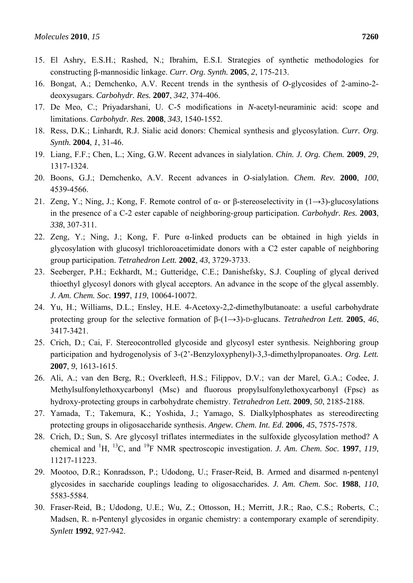- 15. El Ashry, E.S.H.; Rashed, N.; Ibrahim, E.S.I. Strategies of synthetic methodologies for constructing β-mannosidic linkage. *Curr. Org. Synth.* **2005**, *2*, 175-213.
- 16. Bongat, A.; Demchenko, A.V. Recent trends in the synthesis of *O*-glycosides of 2-amino-2 deoxysugars. *Carbohydr. Res.* **2007**, *342*, 374-406.
- 17. De Meo, C.; Priyadarshani, U. C-5 modifications in *N*-acetyl-neuraminic acid: scope and limitations. *Carbohydr. Res.* **2008**, *343*, 1540-1552.
- 18. Ress, D.K.; Linhardt, R.J. Sialic acid donors: Chemical synthesis and glycosylation. *Curr. Org. Synth.* **2004**, *1*, 31-46.
- 19. Liang, F.F.; Chen, L.; Xing, G.W. Recent advances in sialylation. *Chin. J. Org. Chem.* **2009**, *29*, 1317-1324.
- 20. Boons, G.J.; Demchenko, A.V. Recent advances in *O*-sialylation. *Chem. Rev.* **2000**, *100*, 4539-4566.
- 21. Zeng, Y.; Ning, J.; Kong, F. Remote control of  $\alpha$  or  $\beta$ -stereoselectivity in (1→3)-glucosylations in the presence of a C-2 ester capable of neighboring-group participation. *Carbohydr. Res.* **2003**, *338*, 307-311.
- 22. Zeng, Y.; Ning, J.; Kong, F. Pure α-linked products can be obtained in high yields in glycosylation with glucosyl trichloroacetimidate donors with a C2 ester capable of neighboring group participation. *Tetrahedron Lett.* **2002**, *43*, 3729-3733.
- 23. Seeberger, P.H.; Eckhardt, M.; Gutteridge, C.E.; Danishefsky, S.J. Coupling of glycal derived thioethyl glycosyl donors with glycal acceptors. An advance in the scope of the glycal assembly. *J. Am. Chem. Soc.* **1997**, *119*, 10064-10072.
- 24. Yu, H.; Williams, D.L.; Ensley, H.E. 4-Acetoxy-2,2-dimethylbutanoate: a useful carbohydrate protecting group for the selective formation of β-(1→3)-D-glucans. *Tetrahedron Lett.* **2005**, *46*, 3417-3421.
- 25. Crich, D.; Cai, F. Stereocontrolled glycoside and glycosyl ester synthesis. Neighboring group participation and hydrogenolysis of 3-(2'-Benzyloxyphenyl)-3,3-dimethylpropanoates. *Org. Lett.* **2007**, *9*, 1613-1615.
- 26. Ali, A.; van den Berg, R.; Overkleeft, H.S.; Filippov, D.V.; van der Marel, G.A.; Codee, J. Methylsulfonylethoxycarbonyl (Msc) and fluorous propylsulfonylethoxycarbonyl (Fpsc) as hydroxy-protecting groups in carbohydrate chemistry. *Tetrahedron Lett.* **2009**, *50*, 2185-2188.
- 27. Yamada, T.; Takemura, K.; Yoshida, J.; Yamago, S. Dialkylphosphates as stereodirecting protecting groups in oligosaccharide synthesis. *Angew. Chem. Int. Ed.* **2006**, *45*, 7575-7578.
- 28. Crich, D.; Sun, S. Are glycosyl triflates intermediates in the sulfoxide glycosylation method? A chemical and  ${}^{1}H$ ,  ${}^{13}C$ , and  ${}^{19}F$  NMR spectroscopic investigation. *J. Am. Chem. Soc.* **1997**, *119*, 11217-11223.
- 29. Mootoo, D.R.; Konradsson, P.; Udodong, U.; Fraser-Reid, B. Armed and disarmed n-pentenyl glycosides in saccharide couplings leading to oligosaccharides. *J. Am. Chem. Soc.* **1988**, *110*, 5583-5584.
- 30. Fraser-Reid, B.; Udodong, U.E.; Wu, Z.; Ottosson, H.; Merritt, J.R.; Rao, C.S.; Roberts, C.; Madsen, R. n-Pentenyl glycosides in organic chemistry: a contemporary example of serendipity. *Synlett* **1992**, 927-942.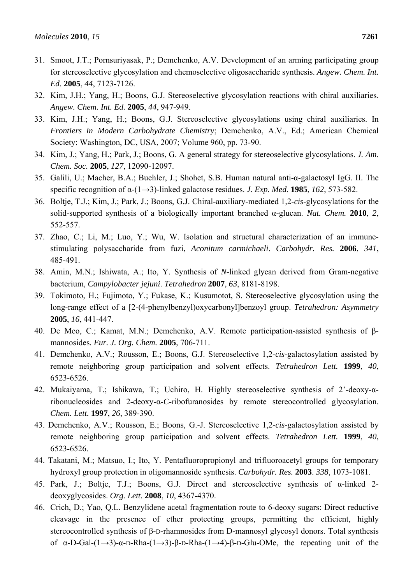- 31. Smoot, J.T.; Pornsuriyasak, P.; Demchenko, A.V. Development of an arming participating group for stereoselective glycosylation and chemoselective oligosaccharide synthesis. *Angew. Chem. Int. Ed.* **2005**, *44*, 7123-7126.
- 32. Kim, J.H.; Yang, H.; Boons, G.J. Stereoselective glycosylation reactions with chiral auxiliaries. *Angew. Chem. Int. Ed.* **2005**, *44*, 947-949.
- 33. Kim, J.H.; Yang, H.; Boons, G.J. Stereoselective glycosylations using chiral auxiliaries. In *Frontiers in Modern Carbohydrate Chemistry*; Demchenko, A.V., Ed.; American Chemical Society: Washington, DC, USA, 2007; Volume 960, pp. 73-90.
- 34. Kim, J.; Yang, H.; Park, J.; Boons, G. A general strategy for stereoselective glycosylations. *J. Am. Chem. Soc.* **2005**, *127*, 12090-12097.
- 35. Galili, U.; Macher, B.A.; Buehler, J.; Shohet, S.B. Human natural anti-α-galactosyl IgG. II. The specific recognition of α-(1→3)-linked galactose residues. *J. Exp. Med.* **1985**, *162*, 573-582.
- 36. Boltje, T.J.; Kim, J.; Park, J.; Boons, G.J. Chiral-auxiliary-mediated 1,2-*cis*-glycosylations for the solid-supported synthesis of a biologically important branched α-glucan. *Nat. Chem.* **2010**, *2*, 552-557.
- 37. Zhao, C.; Li, M.; Luo, Y.; Wu, W. Isolation and structural characterization of an immunestimulating polysaccharide from fuzi, *Aconitum carmichaeli*. *Carbohydr. Res.* **2006**, *341*, 485-491.
- 38. Amin, M.N.; Ishiwata, A.; Ito, Y. Synthesis of *N*-linked glycan derived from Gram-negative bacterium, *Campylobacter jejuni*. *Tetrahedron* **2007**, *63*, 8181-8198.
- 39. Tokimoto, H.; Fujimoto, Y.; Fukase, K.; Kusumotot, S. Stereoselective glycosylation using the long-range effect of a [2-(4-phenylbenzyl)oxycarbonyl]benzoyl group. *Tetrahedron: Asymmetry* **2005**, *16*, 441-447.
- 40. De Meo, C.; Kamat, M.N.; Demchenko, A.V. Remote participation-assisted synthesis of βmannosides. *Eur. J. Org. Chem.* **2005**, 706-711.
- 41. Demchenko, A.V.; Rousson, E.; Boons, G.J. Stereoselective 1,2-*cis*-galactosylation assisted by remote neighboring group participation and solvent effects. *Tetrahedron Lett.* **1999**, *40*, 6523-6526.
- 42. Mukaiyama, T.; Ishikawa, T.; Uchiro, H. Highly stereoselective synthesis of 2'-deoxy-αribonucleosides and 2-deoxy-α-*C*-ribofuranosides by remote stereocontrolled glycosylation. *Chem. Lett.* **1997**, *26*, 389-390.
- 43. Demchenko, A.V.; Rousson, E.; Boons, G.-J. Stereoselective 1,2-*cis*-galactosylation assisted by remote neighboring group participation and solvent effects. *Tetrahedron Lett.* **1999**, *40*, 6523-6526.
- 44. Takatani, M.; Matsuo, I.; Ito, Y. Pentafluoropropionyl and trifluoroacetyl groups for temporary hydroxyl group protection in oligomannoside synthesis. *Carbohydr. Res.* **2003**. *338*, 1073-1081.
- 45. Park, J.; Boltje, T.J.; Boons, G.J. Direct and stereoselective synthesis of α-linked 2 deoxyglycosides. *Org. Lett.* **2008**, *10*, 4367-4370.
- 46. Crich, D.; Yao, Q.L. Benzylidene acetal fragmentation route to 6-deoxy sugars: Direct reductive cleavage in the presence of ether protecting groups, permitting the efficient, highly stereocontrolled synthesis of β-D-rhamnosides from D-mannosyl glycosyl donors. Total synthesis of  $\alpha$ -D-Gal- $(1\rightarrow 3)$ - $\alpha$ -D-Rha- $(1\rightarrow 3)$ - $\beta$ -D-Rha- $(1\rightarrow 4)$ - $\beta$ -D-Glu-OMe, the repeating unit of the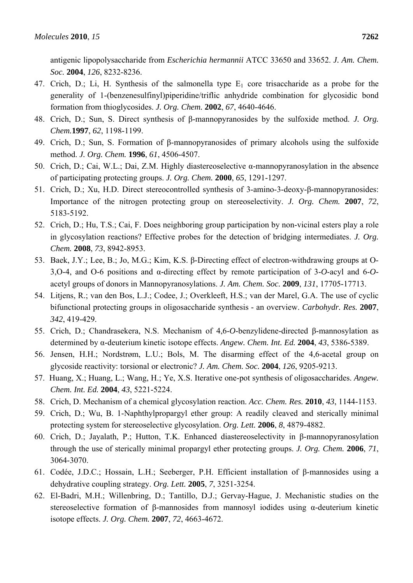antigenic lipopolysaccharide from *Escherichia hermannii* ATCC 33650 and 33652. *J. Am. Chem. Soc.* **2004**, *126*, 8232-8236.

- 47. Crich, D.; Li, H. Synthesis of the salmonella type  $E_1$  core trisaccharide as a probe for the generality of 1-(benzenesulfinyl)piperidine/triflic anhydride combination for glycosidic bond formation from thioglycosides. *J. Org. Chem.* **2002**, *67*, 4640-4646.
- 48. Crich, D.; Sun, S. Direct synthesis of β-mannopyranosides by the sulfoxide method. *J. Org. Chem.***1997**, *62*, 1198-1199.
- 49. Crich, D.; Sun, S. Formation of β-mannopyranosides of primary alcohols using the sulfoxide method. *J. Org. Chem.* **1996**, *61*, 4506-4507.
- 50. Crich, D.; Cai, W.L.; Dai, Z.M. Highly diastereoselective α-mannopyranosylation in the absence of participating protecting groups. *J. Org. Chem.* **2000**, *65*, 1291-1297.
- 51. Crich, D.; Xu, H.D. Direct stereocontrolled synthesis of 3-amino-3-deoxy-β-mannopyranosides: Importance of the nitrogen protecting group on stereoselectivity. *J. Org. Chem.* **2007**, *72*, 5183-5192.
- 52. Crich, D.; Hu, T.S.; Cai, F. Does neighboring group participation by non-vicinal esters play a role in glycosylation reactions? Effective probes for the detection of bridging intermediates. *J. Org. Chem.* **2008**, *73*, 8942-8953.
- 53. Baek, J.Y.; Lee, B.; Jo, M.G.; Kim, K.S. β-Directing effect of electron-withdrawing groups at O-3,O-4, and O-6 positions and α-directing effect by remote participation of 3-*O*-acyl and 6-*O*acetyl groups of donors in Mannopyranosylations. *J. Am. Chem. Soc.* **2009**, *131*, 17705-17713.
- 54. Litjens, R.; van den Bos, L.J.; Codee, J.; Overkleeft, H.S.; van der Marel, G.A. The use of cyclic bifunctional protecting groups in oligosaccharide synthesis - an overview. *Carbohydr. Res.* **2007**, *342*, 419-429.
- 55. Crich, D.; Chandrasekera, N.S. Mechanism of 4,6-*O*-benzylidene-directed β-mannosylation as determined by α-deuterium kinetic isotope effects. *Angew. Chem. Int. Ed.* **2004**, *43*, 5386-5389.
- 56. Jensen, H.H.; Nordstrøm, L.U.; Bols, M. The disarming effect of the 4,6-acetal group on glycoside reactivity: torsional or electronic? *J. Am. Chem. Soc.* **2004**, *126*, 9205-9213.
- 57. Huang, X.; Huang, L.; Wang, H.; Ye, X.S. Iterative one-pot synthesis of oligosaccharides. *Angew. Chem. Int. Ed.* **2004**, *43*, 5221-5224.
- 58. Crich, D. Mechanism of a chemical glycosylation reaction. *Acc. Chem. Res.* **2010**, *43*, 1144-1153.
- 59. Crich, D.; Wu, B. 1-Naphthylpropargyl ether group: A readily cleaved and sterically minimal protecting system for stereoselective glycosylation. *Org. Lett.* **2006**, *8*, 4879-4882.
- 60. Crich, D.; Jayalath, P.; Hutton, T.K. Enhanced diastereoselectivity in β-mannopyranosylation through the use of sterically minimal propargyl ether protecting groups. *J. Org. Chem.* **2006**, *71*, 3064-3070.
- 61. Codée, J.D.C.; Hossain, L.H.; Seeberger, P.H. Efficient installation of β-mannosides using a dehydrative coupling strategy. *Org. Lett.* **2005**, *7*, 3251-3254.
- 62. El-Badri, M.H.; Willenbring, D.; Tantillo, D.J.; Gervay-Hague, J. Mechanistic studies on the stereoselective formation of β-mannosides from mannosyl iodides using α-deuterium kinetic isotope effects. *J. Org. Chem.* **2007**, *72*, 4663-4672.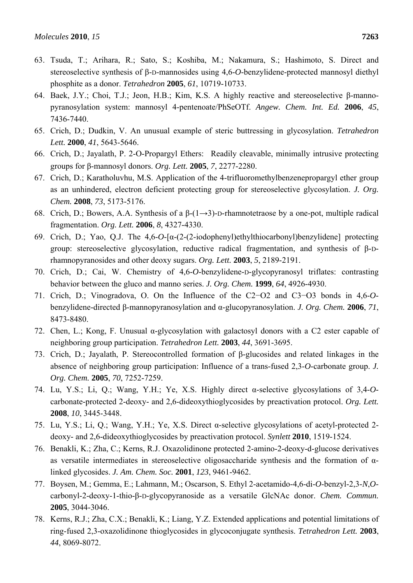- 63. Tsuda, T.; Arihara, R.; Sato, S.; Koshiba, M.; Nakamura, S.; Hashimoto, S. Direct and stereoselective synthesis of β-D-mannosides using 4,6-*O*-benzylidene-protected mannosyl diethyl phosphite as a donor. *Tetrahedron* **2005**, *61*, 10719-10733.
- 64. Baek, J.Y.; Choi, T.J.; Jeon, H.B.; Kim, K.S. A highly reactive and stereoselective β-mannopyranosylation system: mannosyl 4-pentenoate/PhSeOTf. *Angew. Chem. Int. Ed.* **2006**, *45*, 7436-7440.
- 65. Crich, D.; Dudkin, V. An unusual example of steric buttressing in glycosylation. *Tetrahedron Lett.* **2000**, *41*, 5643-5646.
- 66. Crich, D.; Jayalath, P. 2-O-Propargyl Ethers: Readily cleavable, minimally intrusive protecting groups for β-mannosyl donors. *Org. Lett.* **2005**, *7*, 2277-2280.
- 67. Crich, D.; Karatholuvhu, M.S. Application of the 4-trifluoromethylbenzenepropargyl ether group as an unhindered, electron deficient protecting group for stereoselective glycosylation. *J. Org. Chem.* **2008**, *73*, 5173-5176.
- 68. Crich, D.; Bowers, A.A. Synthesis of a  $\beta$ -(1→3)-D-rhamnotetraose by a one-pot, multiple radical fragmentation. *Org. Lett.* **2006**, *8*, 4327-4330.
- 69. Crich, D.; Yao, Q.J. The 4,6-*O*-[α-(2-(2-iodophenyl)ethylthiocarbonyl)benzylidene] protecting group: stereoselective glycosylation, reductive radical fragmentation, and synthesis of β-Drhamnopyranosides and other deoxy sugars. *Org. Lett.* **2003**, *5*, 2189-2191.
- 70. Crich, D.; Cai, W. Chemistry of 4,6-*O*-benzylidene-D-glycopyranosyl triflates: contrasting behavior between the gluco and manno series. *J. Org. Chem.* **1999**, *64*, 4926-4930.
- 71. Crich, D.; Vinogradova, O. On the Influence of the C2−O2 and C3−O3 bonds in 4,6-*O*benzylidene-directed β-mannopyranosylation and α-glucopyranosylation. *J. Org. Chem.* **2006**, *71*, 8473-8480.
- 72. Chen, L.; Kong, F. Unusual α-glycosylation with galactosyl donors with a C2 ester capable of neighboring group participation. *Tetrahedron Lett.* **2003**, *44*, 3691-3695.
- 73. Crich, D.; Jayalath, P. Stereocontrolled formation of β-glucosides and related linkages in the absence of neighboring group participation: Influence of a trans-fused 2,3-*O*-carbonate group. *J. Org. Chem.* **2005**, *70*, 7252-7259.
- 74. Lu, Y.S.; Li, Q.; Wang, Y.H.; Ye, X.S. Highly direct α-selective glycosylations of 3,4-*O*carbonate-protected 2-deoxy- and 2,6-dideoxythioglycosides by preactivation protocol. *Org. Lett.* **2008**, *10*, 3445-3448.
- 75. Lu, Y.S.; Li, Q.; Wang, Y.H.; Ye, X.S. Direct α-selective glycosylations of acetyl-protected 2 deoxy- and 2,6-dideoxythioglycosides by preactivation protocol. *Synlett* **2010**, 1519-1524.
- 76. Benakli, K.; Zha, C.; Kerns, R.J. Oxazolidinone protected 2-amino-2-deoxy-d-glucose derivatives as versatile intermediates in stereoselective oligosaccharide synthesis and the formation of αlinked glycosides. *J. Am. Chem. Soc.* **2001**, *123*, 9461-9462.
- 77. Boysen, M.; Gemma, E.; Lahmann, M.; Oscarson, S. Ethyl 2-acetamido-4,6-di-*O*-benzyl-2,3-*N*,*O*carbonyl-2-deoxy-1-thio-β-D-glycopyranoside as a versatile GlcNAc donor. *Chem. Commun.* **2005**, 3044-3046.
- 78. Kerns, R.J.; Zha, C.X.; Benakli, K.; Liang, Y.Z. Extended applications and potential limitations of ring-fused 2,3-oxazolidinone thioglycosides in glycoconjugate synthesis. *Tetrahedron Lett.* **2003**, *44*, 8069-8072.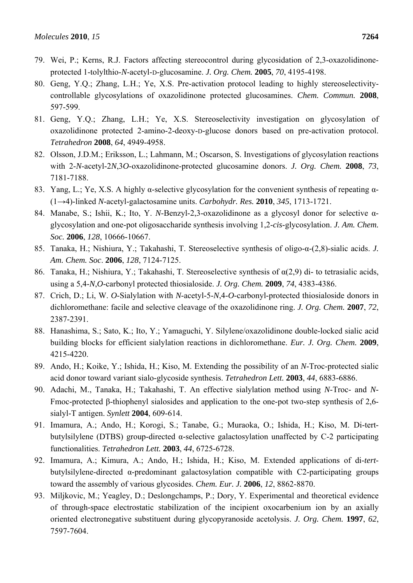- 79. Wei, P.; Kerns, R.J. Factors affecting stereocontrol during glycosidation of 2,3-oxazolidinoneprotected 1-tolylthio-*N*-acetyl-D-glucosamine. *J. Org. Chem.* **2005**, *70*, 4195-4198.
- 80. Geng, Y.Q.; Zhang, L.H.; Ye, X.S. Pre-activation protocol leading to highly stereoselectivitycontrollable glycosylations of oxazolidinone protected glucosamines. *Chem. Commun.* **2008**, 597-599.
- 81. Geng, Y.Q.; Zhang, L.H.; Ye, X.S. Stereoselectivity investigation on glycosylation of oxazolidinone protected 2-amino-2-deoxy-D-glucose donors based on pre-activation protocol. *Tetrahedron* **2008**, *64*, 4949-4958.
- 82. Olsson, J.D.M.; Eriksson, L.; Lahmann, M.; Oscarson, S. Investigations of glycosylation reactions with 2-*N*-acetyl-2*N*,3*O*-oxazolidinone-protected glucosamine donors. *J. Org. Chem.* **2008**, *73*, 7181-7188.
- 83. Yang, L.; Ye, X.S. A highly α-selective glycosylation for the convenient synthesis of repeating α- (1→4)-linked *N*-acetyl-galactosamine units. *Carbohydr. Res.* **2010**, *345*, 1713-1721.
- 84. Manabe, S.; Ishii, K.; Ito, Y. *N*-Benzyl-2,3-oxazolidinone as a glycosyl donor for selective αglycosylation and one-pot oligosaccharide synthesis involving 1,2-*cis*-glycosylation. *J. Am. Chem. Soc.* **2006**, *128*, 10666-10667.
- 85. Tanaka, H.; Nishiura, Y.; Takahashi, T. Stereoselective synthesis of oligo-α-(2,8)-sialic acids. *J. Am. Chem. Soc*. **2006**, *128*, 7124-7125.
- 86. Tanaka, H.; Nishiura, Y.; Takahashi, T. Stereoselective synthesis of α(2,9) di- to tetrasialic acids, using a 5,4-*N*,*O*-carbonyl protected thiosialoside. *J. Org. Chem.* **2009**, *74*, 4383-4386.
- 87. Crich, D.; Li, W. *O*-Sialylation with *N*-acetyl-5-*N*,4-*O*-carbonyl-protected thiosialoside donors in dichloromethane: facile and selective cleavage of the oxazolidinone ring. *J. Org. Chem.* **2007**, *72*, 2387-2391.
- 88. Hanashima, S.; Sato, K.; Ito, Y.; Yamaguchi, Y. Silylene/oxazolidinone double-locked sialic acid building blocks for efficient sialylation reactions in dichloromethane. *Eur. J. Org. Chem.* **2009**, 4215-4220.
- 89. Ando, H.; Koike, Y.; Ishida, H.; Kiso, M. Extending the possibility of an *N*-Troc-protected sialic acid donor toward variant sialo-glycoside synthesis. *Tetrahedron Lett.* **2003**, *44*, 6883-6886.
- 90. Adachi, M., Tanaka, H.; Takahashi, T. An effective sialylation method using *N*-Troc- and *N*-Fmoc-protected β-thiophenyl sialosides and application to the one-pot two-step synthesis of 2,6 sialyl-T antigen. *Synlett* **2004**, 609-614.
- 91. Imamura, A.; Ando, H.; Korogi, S.; Tanabe, G.; Muraoka, O.; Ishida, H.; Kiso, M. Di-tertbutylsilylene (DTBS) group-directed α-selective galactosylation unaffected by C-2 participating functionalities. *Tetrahedron Lett.* **2003**, *44*, 6725-6728.
- 92. Imamura, A.; Kimura, A.; Ando, H.; Ishida, H.; Kiso, M. Extended applications of di-*tert*butylsilylene-directed α-predominant galactosylation compatible with C2-participating groups toward the assembly of various glycosides. *Chem. Eur. J.* **2006**, *12*, 8862-8870.
- 93. Miljkovic, M.; Yeagley, D.; Deslongchamps, P.; Dory, Y. Experimental and theoretical evidence of through-space electrostatic stabilization of the incipient oxocarbenium ion by an axially oriented electronegative substituent during glycopyranoside acetolysis. *J. Org. Chem.* **1997**, *62*, 7597-7604.